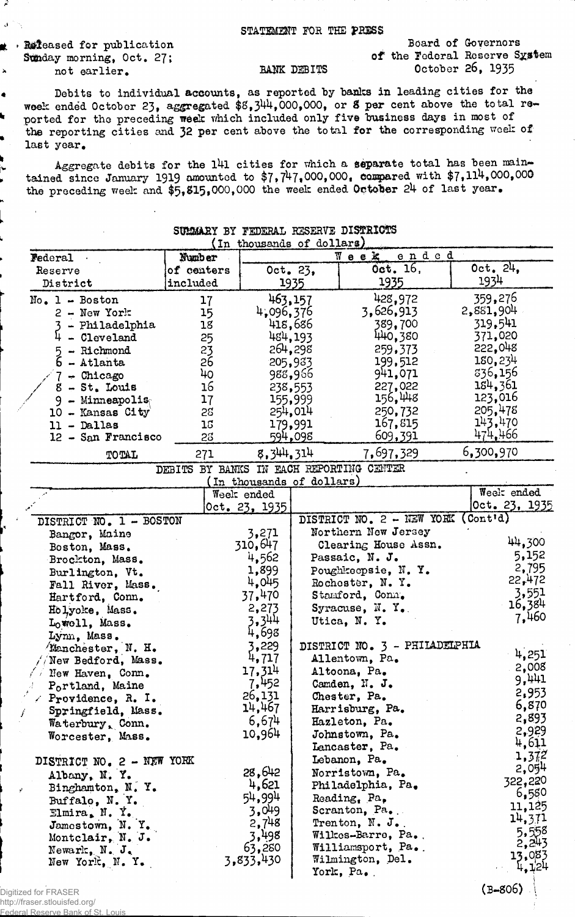## STATEMENT FOR THE PRESS

. Refeased for publication Sunday morning, Oct. 27; not earlier.

Ŕ.

## Board of Governors of the Federal Reserve System October 26, 1935

Debits to individual accounts, as reported by banks in leading cities for the woek ended October 23, aggregated \$8,344,000,000, or 8 per cent above the total rethe reporting cities and 32 per cent above the total for the corresponding week of last year.

BANK DEBITS

Aggregate debits for the 141 cities for which a separate total has been main-<br>tained since January 1919 amounted to  $$7,747,000,000$ , compared with  $$7,114,000,000$ the preceding week and \$5,815,000,000 the week ended October 24 of last year.

| SUMMARY BY FEDERAL RESERVE DISTRICTS<br>(In thousands of dollars) |                                          |                           |          |                                    |                    |  |  |  |  |
|-------------------------------------------------------------------|------------------------------------------|---------------------------|----------|------------------------------------|--------------------|--|--|--|--|
| <b>Federal</b> .                                                  | Number                                   | ended<br>Week             |          |                                    |                    |  |  |  |  |
| Reserve                                                           | of centers                               |                           | Oct. 23, | Oct. 16,                           | 0ct. 24.           |  |  |  |  |
| District                                                          | included                                 |                           | 1935     | 1935                               | 1934               |  |  |  |  |
|                                                                   |                                          |                           |          |                                    | 359,276            |  |  |  |  |
| $No. 1 - Boston$                                                  | 17                                       |                           | 463,157  | 428,972<br>3,626,913               | 2,881,904          |  |  |  |  |
| $2 - New York$                                                    | 15                                       | 4,096,376                 |          |                                    | 319,541            |  |  |  |  |
| 3 - Philadelphia                                                  | 18                                       |                           | 418,686  | 389,700                            | 371,020            |  |  |  |  |
| $4 - C1$ eveland                                                  | 25                                       |                           | 484,193  | 440,380                            | 222,048            |  |  |  |  |
| - Richmond<br>$5 -$ Richmond<br>$6 -$ Atlanta                     | 23                                       |                           | 264,298  | 259,373                            | 180,234            |  |  |  |  |
|                                                                   | $2\overline{6}$                          |                           | 205,933  | 199,512                            | 336,156            |  |  |  |  |
| $7 -$ Chicago                                                     | 40                                       |                           | 988,966  | 941,071                            | 184,361            |  |  |  |  |
| $8 - St$ . Louis                                                  | 16                                       |                           | 238,553  | 227,022                            | 123,016            |  |  |  |  |
| 9 - Minneapolis $\epsilon$                                        | 17                                       |                           | 155,999  | 156,448                            |                    |  |  |  |  |
| 10 - Kansas City                                                  | 58                                       |                           | 254,014  | 250,732                            | 205,478<br>143,470 |  |  |  |  |
| $11 -$ Dallas                                                     | 15                                       |                           | 179,991  | 167,815                            | 474,466            |  |  |  |  |
| 12 - San Francisco                                                | 28                                       |                           | 594,098  | 609,391                            |                    |  |  |  |  |
| TOTAL                                                             | 271                                      | 8, 344, 314               |          | 7,697,329                          | 6,300,970          |  |  |  |  |
|                                                                   | DEBITS BY BANKS IN EACH REPORTING CENTER |                           |          |                                    |                    |  |  |  |  |
|                                                                   |                                          | (In thousands of dollars) |          |                                    | Week ended         |  |  |  |  |
|                                                                   |                                          | Week ended                |          |                                    | Oct. 23, 1935      |  |  |  |  |
|                                                                   |                                          | Oct. 23, 1935             |          |                                    |                    |  |  |  |  |
| DISTRICT NO. 1 - BOSTON                                           |                                          |                           |          | DISTRICT NO. 2 - NEW YORK (Cont'd) |                    |  |  |  |  |
| Bangor, Maine                                                     |                                          | 3,271                     |          | Northern New Jersey                | 44,300             |  |  |  |  |
| Boston, Mass.                                                     |                                          | 310,647                   |          | Clearing House Assn.               |                    |  |  |  |  |
| Brockton, Mass.                                                   |                                          | 4,562                     |          | Passaic, N. J.                     | 5,152              |  |  |  |  |
| Burlington, Vt.                                                   |                                          | 1,899                     |          | Poughkeepsie, N.Y.                 | 2,795              |  |  |  |  |
| Fall River, Mass.                                                 |                                          | 4,045                     |          | Rochester, N.Y.                    | 22,472             |  |  |  |  |
| Hartford, Conn.                                                   |                                          | 37,470                    |          | Stamford, Conn.                    | 3,551              |  |  |  |  |
| Holyoke, Mass.                                                    |                                          | 2,273                     |          | Syracuse, N.Y.                     | 16,384             |  |  |  |  |
| Lowell, Mass.                                                     |                                          | 3,344                     |          | Utica, N.Y.                        | 7,460              |  |  |  |  |
| Lynn, Mass.                                                       |                                          | 4,698                     |          |                                    |                    |  |  |  |  |
| Manchester, N. H.                                                 |                                          | 3,229                     |          | DISTRICT NO. 3 - PHILADELPHIA      |                    |  |  |  |  |
| New Bedford, Mass.                                                |                                          | 4,717                     |          | Allentown, Pa.                     | 4,251              |  |  |  |  |
| $\sqrt{7}$ New Haven, Conn.                                       |                                          | 17,314                    |          | Altoona, Pa.                       | 2,008              |  |  |  |  |
| $P_0$ rtland, Maine                                               |                                          | 7,452                     |          | Camden, N. J.                      | 9,441              |  |  |  |  |
| $\angle$ Providence, R. I.                                        |                                          | 26,131                    |          | Chester, Pa.                       | 2,953              |  |  |  |  |
| Springfield, Mass.                                                |                                          | 14,467                    |          | Harrisburg, Pa.                    | 6,870              |  |  |  |  |
| Waterbury, Conn.                                                  |                                          | 6,674                     |          | Hazleton, Pa.                      | 2,893              |  |  |  |  |
| Worcester, Mass.                                                  |                                          | 10,964                    |          | Johnstown, Pa.                     | 2,929              |  |  |  |  |
|                                                                   |                                          |                           |          | Lancaster, Pa.                     | 4,611              |  |  |  |  |
| DISTRICT NO. 2 - NEW YORK                                         |                                          |                           |          | Lebanon, Pa.                       | 1,372              |  |  |  |  |
| Albany, N.Y.                                                      |                                          | 28,642                    |          | Norristown, Pa.                    | 2,054              |  |  |  |  |
| Binghamton, N.Y.                                                  |                                          | 4,621                     |          | Philadelphia, Pa.                  | 322,220            |  |  |  |  |
| Buffalo, N.Y.                                                     |                                          | 54,994                    |          | Reading, Pa,                       | 6,580              |  |  |  |  |
| Elmira, N.Y.                                                      |                                          | 3,049                     |          | Scranton, $Pa_{\bullet}$ .         | 11,125             |  |  |  |  |
| Jamestown, N.Y.                                                   |                                          | 2,748                     |          | Trenton, $N. J.$                   | 14,371             |  |  |  |  |
| Montclair, N. J.                                                  |                                          | 3,498                     |          | Wilkes-Barre, Pa.                  | 5,558              |  |  |  |  |
| Newark, $N_{\bullet}$ , $J_{\bullet}$                             |                                          | 63,280                    |          | Williamsport, Pa.                  | 2,243              |  |  |  |  |
| New York, N.Y.                                                    |                                          | 3,833,430                 |          | Wilmington, Del.                   | 13,083             |  |  |  |  |
|                                                                   |                                          |                           |          | York, Pa.                          | 4,124              |  |  |  |  |
|                                                                   |                                          |                           |          |                                    | $(7-806)$          |  |  |  |  |

Digitized for FRASER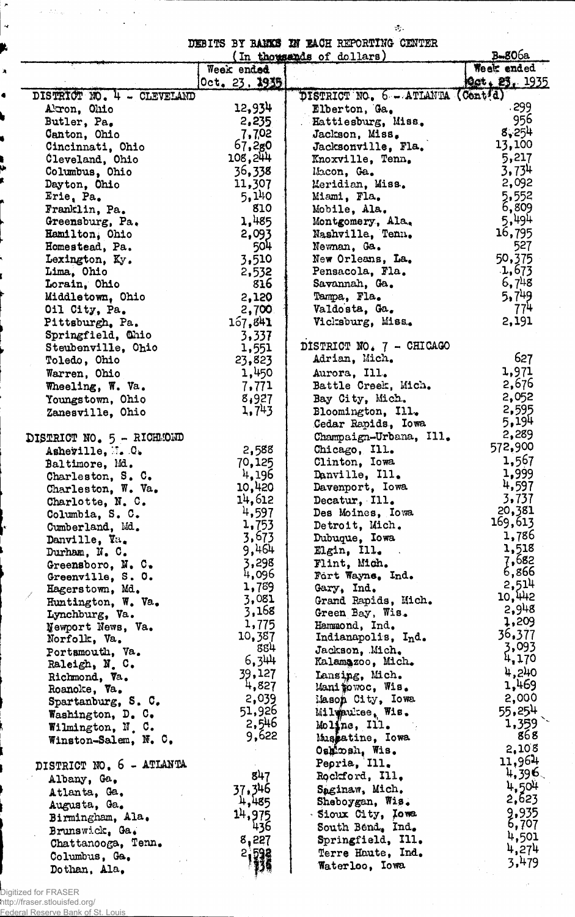DEBITS BY BA3K3 *W* EACH REPORTING CENTER

 $\lambda$ 

 $\mathcal{H}_\lambda$ 

 $\ddot{\phantom{a}}$ 

|                            | Week ended    | (In thousands of dollars)         | $B = 806a$<br>Week ended |
|----------------------------|---------------|-----------------------------------|--------------------------|
|                            | 0ct.23.2935   |                                   | Oct. 23, 1935            |
| DISTRICT NO. 4 - CLEVELAND |               | DISTRICT NO. 6 - ATIANTA (Centid) |                          |
| Akron, Ohio                | 12,934        | Elberton, Ga.                     | .299                     |
| Butler, Pa.                | 2,235         | Hattiesburg, Miss.                | 956                      |
| Canton, Ohio               | 7,702         | Jackson, Miss.                    | 8,254                    |
|                            | 67,280        |                                   | 13,100                   |
| Cincinnati, Ohio           | 108,244       | Jacksonville, Fla.                | 5,217                    |
| Cleveland, Ohio            |               | Knoxville, Tenn.                  |                          |
| Columbus, Ohio             | 36,338        | Macon, Ga.                        | 3,734                    |
| Dayton, Ohio               | 11,307        | Meridian, Miss.                   | 2,092                    |
| Erie, Pa.                  | 5,140         | Miami, Fla.                       | 5,552                    |
| Franklin, Pa.              | 810           | Mobile, Ala.                      | 6,809                    |
| Greensburg, Pa.            | 1,485         | Montgomery, Ala.                  | 5,494                    |
| Hamilton, Ohio             | 2,093         | Nashville, Tenn.                  | 16,795                   |
| Homestead, Pa.             | 504           | Newnan, Ga.                       | 527                      |
| Lexington, Ky.             | 3,510         | New Orleans, La.                  | 50,375                   |
| Lima. Ohio                 | 2,532         | Pensacola, Fla.                   | 1,673                    |
| Lorain, Ohio               | 816           | Savannah, Ga.                     | 6,748                    |
| Middletown, Ohio           | 2,120         | Tampa, Fla.                       | 5.749                    |
| Oil City, Pa.              | 2,700         | Valdosta, Ga.                     | 774                      |
| Pittsburgh, Pa.            | 167,841       | Vicksburg, Miss.                  | 2,191                    |
|                            |               |                                   |                          |
| Springfield, Chio          | 3,337         | DISTRICT NO. 7 - CHICAGO          |                          |
| Steubenville, Ohio         | 1,551         |                                   | 627                      |
| Toledo, Ohio               | 23,823        | Adrian, Mich.                     |                          |
| Warren, Ohio               | 1,450         | Aurora, Ill.                      | 1,971                    |
| Wheeling, W. Va.           | 7,771         | Battle Creek, Mich.               | 2,676                    |
| Youngstown, Ohio           | 8,927         | Bay City, Mich.                   | 2,052                    |
| Zanesville, Ohio           | 1,743         | Bloomington, Ill.                 | 2,595                    |
|                            |               | Cedar Rapids, Iowa                | 5,194                    |
| DISTRICT NO. 5 - RICHMOND  |               | Champaign-Urbana, Ill.            | 2,289                    |
| Asheville, M. O.           | 2,588         | Chicago, Ill.                     | 572,900                  |
| Baltimore, Md.             | 70,125        | Clinton, Iowa                     | 1,567                    |
|                            | 4,196         | Danville, Ill.                    | 1,999                    |
| Charleston, S. C.          | 10,420        | Davenport, Iowa                   | 4,597                    |
| Charleston, W. Va.         |               |                                   | 3,737                    |
| Charlotte, N. C.           | 14,612        | Decatur, Ill.                     | 20,381                   |
| Columbia, S. C.            | 4,597         | Des Moines, Iowa                  | 169,613                  |
| Cumberland, Md.            | 1,753         | Detroit, Mich.                    |                          |
| Danville, Va.              | 3,673         | Dubuque, Iowa                     | 1,786                    |
| Durham, N.C.               | 9,464         | $E1$ gin, $II1$ .                 | 1,518                    |
| Greensboro, N.C.           | 3,298         | Flint, Mich.                      | 7,682                    |
| Greenville, S. O.          | 4,096         | Fort Wayne, Ind.                  | 6,866                    |
| Hagerstown, Md.            | 1,789         | Gary, Ind.                        | 2,514                    |
| Huntington, W. Va.         | 3,081         | Grand Rapids, Mich.               | 10,442                   |
| Lynchburg, Va.             | 3,168         | Green Bay, Wis.                   | 2,948                    |
| Newport News, Va.          | 1,775         | Hammond, Ind.                     | 1,209                    |
| Norfolk, Va.               | 10,387        | Indianapolis, Ind.                | 36,377                   |
| Portsmouth, Va.            | 884           | Jackson, Mich.                    | 3,093                    |
| Raleigh, N.C.              | 6,344         | Kalamazoo, Mich.                  | 4,170                    |
|                            | 39,127        | Lansing, Mich.                    | 4,240                    |
| Richmond, Va.              | 4,827         | Manipowoc, Wis.                   | 1,469                    |
| Roanoke, Va.               | 2,039         |                                   | 2,000                    |
| Spartanburg, S. C.         | 51,926        | Mason City, Iowa                  | 55,254                   |
| Washington, D. C.          | 2,546         | Milwaukee, Wis.                   | 1,359                    |
| Wilmington, N. C.          |               | Moline, Ill.                      |                          |
| Winston-Salem, N. C.       | 9,622         | Mussatine, Iowa                   | 868                      |
|                            |               | Oshkosh, Wis.                     | 2,108                    |
| DISTRICT NO. 6 - ATLANTA   |               | Pepria, Ill.                      | 11,964                   |
| Albany, Ga,                | 847           | Rockford, Ill.                    | 4,396                    |
| Atlanta, Ga.               | 37,346        | Saginaw, Mich.                    | 4.504                    |
|                            | 4,485         | Sheboygan, Wis.                   | 2,623                    |
| Augusta, Ga.               | 14,975        | Sioux City, Iowa                  | 9,935                    |
| Birmingham, Ala.           | 436           | South Bend, Ind.                  | 6,707                    |
| Brunswick, Ga.             |               | Springfield, Ill.                 | 4,501                    |
| Chattanooga, Tenn.         | 8,227         |                                   | 4,274                    |
| Columbus, Ga.              | $\frac{2}{3}$ | Terre Haute, Ind.                 | 3,479                    |
| Dothan, Ala,               |               | Waterloo, Iowa                    |                          |

Digitized for FRASER

 $\lambda$ 

 $\overline{a}$ 

 $\label{eq:2} \hat{\sigma} = \hat{\sigma} \hat{\sigma} \hat{\sigma} \hat{\sigma} \hat{\sigma} = - \hat{\sigma} \hat{\sigma} \hat{\sigma} \hat{\sigma} \hat{\sigma} \hat{\sigma}$ 

 $\langle \cdot, \cdot \rangle$  $\ddot{\phantom{a}}$ 

 $\ddot{\phantom{a}}$ 

http://fraser.stlouisfed.org/ Federal Reserve Bank of St. Louis